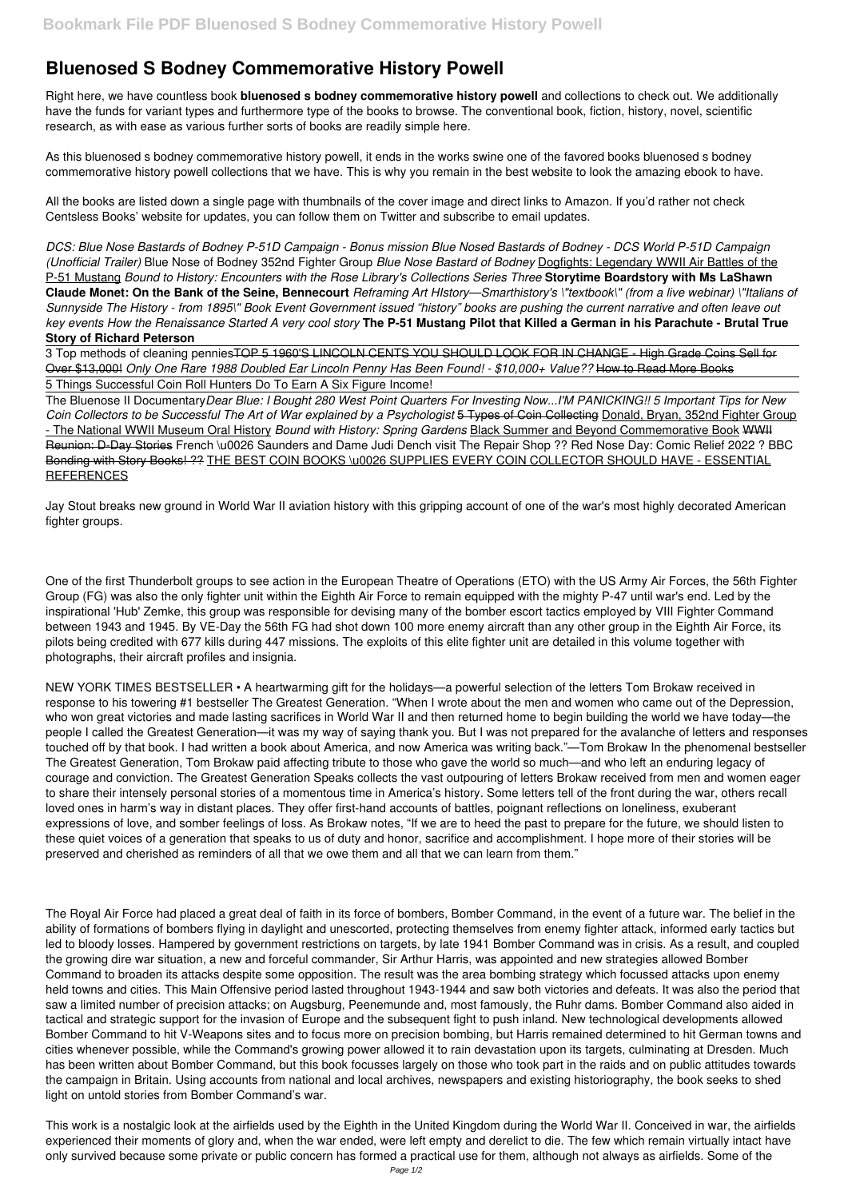## **Bluenosed S Bodney Commemorative History Powell**

Right here, we have countless book **bluenosed s bodney commemorative history powell** and collections to check out. We additionally have the funds for variant types and furthermore type of the books to browse. The conventional book, fiction, history, novel, scientific research, as with ease as various further sorts of books are readily simple here.

As this bluenosed s bodney commemorative history powell, it ends in the works swine one of the favored books bluenosed s bodney commemorative history powell collections that we have. This is why you remain in the best website to look the amazing ebook to have.

All the books are listed down a single page with thumbnails of the cover image and direct links to Amazon. If you'd rather not check Centsless Books' website for updates, you can follow them on Twitter and subscribe to email updates.

The Bluenose II Documentary*Dear Blue: I Bought 280 West Point Quarters For Investing Now...I'M PANICKING!! 5 Important Tips for New Coin Collectors to be Successful The Art of War explained by a Psychologist* 5 Types of Coin Collecting Donald, Bryan, 352nd Fighter Group - The National WWII Museum Oral History *Bound with History: Spring Gardens* Black Summer and Beyond Commemorative Book WWII Reunion: D-Day Stories French \u0026 Saunders and Dame Judi Dench visit The Repair Shop ?? Red Nose Day: Comic Relief 2022 ? BBC Bonding with Story Books! ?? THE BEST COIN BOOKS \u0026 SUPPLIES EVERY COIN COLLECTOR SHOULD HAVE - ESSENTIAL **REFERENCES** 

*DCS: Blue Nose Bastards of Bodney P-51D Campaign - Bonus mission Blue Nosed Bastards of Bodney - DCS World P-51D Campaign (Unofficial Trailer)* Blue Nose of Bodney 352nd Fighter Group *Blue Nose Bastard of Bodney* Dogfights: Legendary WWII Air Battles of the P-51 Mustang *Bound to History: Encounters with the Rose Library's Collections Series Three* **Storytime Boardstory with Ms LaShawn Claude Monet: On the Bank of the Seine, Bennecourt** *Reframing Art HIstory—Smarthistory's \"textbook\" (from a live webinar) \"Italians of Sunnyside The History - from 1895\" Book Event Government issued "history" books are pushing the current narrative and often leave out key events How the Renaissance Started A very cool story* **The P-51 Mustang Pilot that Killed a German in his Parachute - Brutal True Story of Richard Peterson**

3 Top methods of cleaning penniesTOP 5 1960'S LINCOLN CENTS YOU SHOULD LOOK FOR IN CHANGE - High Grade Coins Sell for Over \$13,000! *Only One Rare 1988 Doubled Ear Lincoln Penny Has Been Found! - \$10,000+ Value??* How to Read More Books 5 Things Successful Coin Roll Hunters Do To Earn A Six Figure Income!

Jay Stout breaks new ground in World War II aviation history with this gripping account of one of the war's most highly decorated American fighter groups.

One of the first Thunderbolt groups to see action in the European Theatre of Operations (ETO) with the US Army Air Forces, the 56th Fighter Group (FG) was also the only fighter unit within the Eighth Air Force to remain equipped with the mighty P-47 until war's end. Led by the inspirational 'Hub' Zemke, this group was responsible for devising many of the bomber escort tactics employed by VIII Fighter Command between 1943 and 1945. By VE-Day the 56th FG had shot down 100 more enemy aircraft than any other group in the Eighth Air Force, its pilots being credited with 677 kills during 447 missions. The exploits of this elite fighter unit are detailed in this volume together with photographs, their aircraft profiles and insignia.

NEW YORK TIMES BESTSELLER • A heartwarming gift for the holidays—a powerful selection of the letters Tom Brokaw received in response to his towering #1 bestseller The Greatest Generation. "When I wrote about the men and women who came out of the Depression, who won great victories and made lasting sacrifices in World War II and then returned home to begin building the world we have today—the people I called the Greatest Generation—it was my way of saying thank you. But I was not prepared for the avalanche of letters and responses touched off by that book. I had written a book about America, and now America was writing back."—Tom Brokaw In the phenomenal bestseller The Greatest Generation, Tom Brokaw paid affecting tribute to those who gave the world so much—and who left an enduring legacy of courage and conviction. The Greatest Generation Speaks collects the vast outpouring of letters Brokaw received from men and women eager to share their intensely personal stories of a momentous time in America's history. Some letters tell of the front during the war, others recall loved ones in harm's way in distant places. They offer first-hand accounts of battles, poignant reflections on loneliness, exuberant expressions of love, and somber feelings of loss. As Brokaw notes, "If we are to heed the past to prepare for the future, we should listen to these quiet voices of a generation that speaks to us of duty and honor, sacrifice and accomplishment. I hope more of their stories will be preserved and cherished as reminders of all that we owe them and all that we can learn from them."

The Royal Air Force had placed a great deal of faith in its force of bombers, Bomber Command, in the event of a future war. The belief in the ability of formations of bombers flying in daylight and unescorted, protecting themselves from enemy fighter attack, informed early tactics but led to bloody losses. Hampered by government restrictions on targets, by late 1941 Bomber Command was in crisis. As a result, and coupled the growing dire war situation, a new and forceful commander, Sir Arthur Harris, was appointed and new strategies allowed Bomber Command to broaden its attacks despite some opposition. The result was the area bombing strategy which focussed attacks upon enemy held towns and cities. This Main Offensive period lasted throughout 1943-1944 and saw both victories and defeats. It was also the period that saw a limited number of precision attacks; on Augsburg, Peenemunde and, most famously, the Ruhr dams. Bomber Command also aided in tactical and strategic support for the invasion of Europe and the subsequent fight to push inland. New technological developments allowed Bomber Command to hit V-Weapons sites and to focus more on precision bombing, but Harris remained determined to hit German towns and cities whenever possible, while the Command's growing power allowed it to rain devastation upon its targets, culminating at Dresden. Much has been written about Bomber Command, but this book focusses largely on those who took part in the raids and on public attitudes towards the campaign in Britain. Using accounts from national and local archives, newspapers and existing historiography, the book seeks to shed light on untold stories from Bomber Command's war.

This work is a nostalgic look at the airfields used by the Eighth in the United Kingdom during the World War II. Conceived in war, the airfields experienced their moments of glory and, when the war ended, were left empty and derelict to die. The few which remain virtually intact have only survived because some private or public concern has formed a practical use for them, although not always as airfields. Some of the